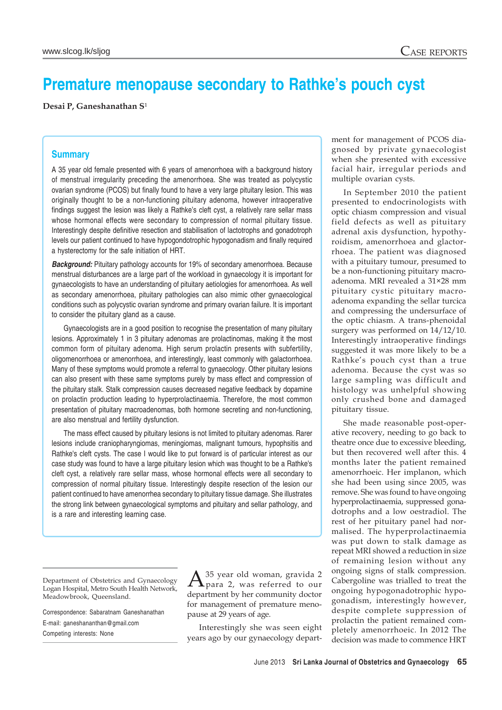# **Premature menopause secondary to Rathke's pouch cyst**

Desai P, Ganeshanathan S<sup>1</sup>

#### **Summary**

A 35 year old female presented with 6 years of amenorrhoea with a background history of menstrual irregularity preceding the amenorrhoea. She was treated as polycystic ovarian syndrome (PCOS) but finally found to have a very large pituitary lesion. This was originally thought to be a non-functioning pituitary adenoma, however intraoperative findings suggest the lesion was likely a Rathke's cleft cyst, a relatively rare sellar mass whose hormonal effects were secondary to compression of normal pituitary tissue. Interestingly despite definitive resection and stabilisation of lactotrophs and gonadotroph levels our patient continued to have hypogondotrophic hypogonadism and finally required a hysterectomy for the safe initiation of HRT.

**Background:** Pituitary pathology accounts for 19% of secondary amenorrhoea. Because menstrual disturbances are a large part of the workload in gynaecology it is important for gynaecologists to have an understanding of pituitary aetiologies for amenorrhoea. As well as secondary amenorrhoea, pituitary pathologies can also mimic other gynaecological conditions such as polycystic ovarian syndrome and primary ovarian failure. It is important to consider the pituitary gland as a cause.

Gynaecologists are in a good position to recognise the presentation of many pituitary lesions. Approximately 1 in 3 pituitary adenomas are prolactinomas, making it the most common form of pituitary adenoma. High serum prolactin presents with subfertility, oligomenorrhoea or amenorrhoea, and interestingly, least commonly with galactorrhoea. Many of these symptoms would promote a referral to gynaecology. Other pituitary lesions can also present with these same symptoms purely by mass effect and compression of the pituitary stalk. Stalk compression causes decreased negative feedback by dopamine on prolactin production leading to hyperprolactinaemia. Therefore, the most common presentation of pituitary macroadenomas, both hormone secreting and non-functioning, are also menstrual and fertility dysfunction.

The mass effect caused by pituitary lesions is not limited to pituitary adenomas. Rarer lesions include craniopharyngiomas, meningiomas, malignant tumours, hypophsitis and Rathke's cleft cysts. The case I would like to put forward is of particular interest as our case study was found to have a large pituitary lesion which was thought to be a Rathke's cleft cyst, a relatively rare sellar mass, whose hormonal effects were all secondary to compression of normal pituitary tissue. Interestingly despite resection of the lesion our patient continued to have amenorrhea secondary to pituitary tissue damage. She illustrates the strong link between gynaecological symptoms and pituitary and sellar pathology, and is a rare and interesting learning case.

Correspondence: Sabaratnam Ganeshanathan E-mail: ganeshananthan@gmail.com Competing interests: None

A35 year old woman, gravida 2 para 2, was referred to our department by her community doctor for management of premature menopause at 29 years of age.

Interestingly she was seen eight years ago by our gynaecology department for management of PCOS diagnosed by private gynaecologist when she presented with excessive facial hair, irregular periods and multiple ovarian cysts.

In September 2010 the patient presented to endocrinologists with optic chiasm compression and visual field defects as well as pituitary adrenal axis dysfunction, hypothyroidism, amenorrhoea and glactorrhoea. The patient was diagnosed with a pituitary tumour, presumed to be a non-functioning pituitary macroadenoma. MRI revealed a 31×28 mm pituitary cystic pituitary macroadenoma expanding the sellar turcica and compressing the undersurface of the optic chiasm. A trans-phenoidal surgery was performed on 14/12/10. Interestingly intraoperative findings suggested it was more likely to be a Rathke's pouch cyst than a true adenoma. Because the cyst was so large sampling was difficult and histology was unhelpful showing only crushed bone and damaged pituitary tissue.

She made reasonable post-operative recovery, needing to go back to theatre once due to excessive bleeding, but then recovered well after this. 4 months later the patient remained amenorrhoeic. Her implanon, which she had been using since 2005, was remove. She was found to have ongoing hyperprolactinaemia, suppressed gonadotrophs and a low oestradiol. The rest of her pituitary panel had normalised. The hyperprolactinaemia was put down to stalk damage as repeat MRI showed a reduction in size of remaining lesion without any ongoing signs of stalk compression. Cabergoline was trialled to treat the ongoing hypogonadotrophic hypogonadism, interestingly however, despite complete suppression of prolactin the patient remained completely amenorrhoeic. In 2012 The decision was made to commence HRT

Department of Obstetrics and Gynaecology Logan Hospital, Metro South Health Network, Meadowbrook, Queensland.